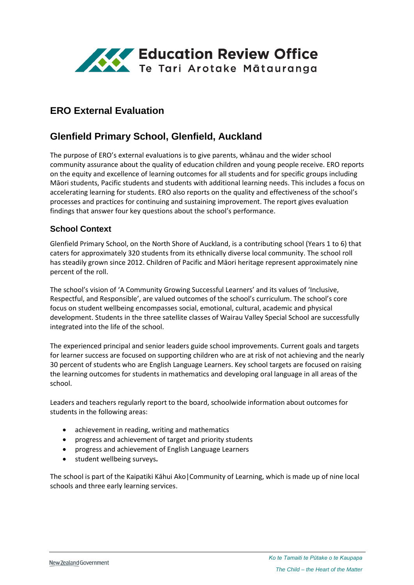

# **ERO External Evaluation**

# **Glenfield Primary School, Glenfield, Auckland**

The purpose of ERO's external evaluations is to give parents, whānau and the wider school community assurance about the quality of education children and young people receive. ERO reports on the equity and excellence of learning outcomes for all students and for specific groups including Māori students, Pacific students and students with additional learning needs. This includes a focus on accelerating learning for students. ERO also reports on the quality and effectiveness of the school's processes and practices for continuing and sustaining improvement. The report gives evaluation findings that answer four key questions about the school's performance.

### **School Context**

Glenfield Primary School, on the North Shore of Auckland, is a contributing school (Years 1 to 6) that caters for approximately 320 students from its ethnically diverse local community. The school roll has steadily grown since 2012. Children of Pacific and Māori heritage represent approximately nine percent of the roll.

The school's vision of 'A Community Growing Successful Learners' and its values of 'Inclusive, Respectful, and Responsible', are valued outcomes of the school's curriculum. The school's core focus on student wellbeing encompasses social, emotional, cultural, academic and physical development. Students in the three satellite classes of Wairau Valley Special School are successfully integrated into the life of the school.

The experienced principal and senior leaders guide school improvements. Current goals and targets for learner success are focused on supporting children who are at risk of not achieving and the nearly 30 percent of students who are English Language Learners. Key school targets are focused on raising the learning outcomes for students in mathematics and developing oral language in all areas of the school.

Leaders and teachers regularly report to the board, schoolwide information about outcomes for students in the following areas:

- achievement in reading, writing and mathematics
- progress and achievement of target and priority students
- progress and achievement of English Language Learners
- student wellbeing surveys**.**

The school is part of the Kaipatiki Kāhui Ako|Community of Learning, which is made up of nine local schools and three early learning services.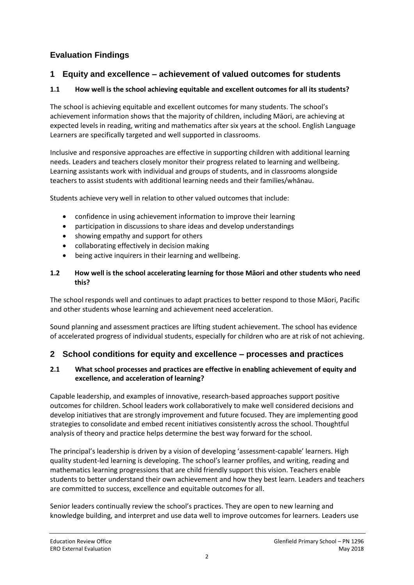# **Evaluation Findings**

### **1 Equity and excellence – achievement of valued outcomes for students**

### **1.1 How well is the school achieving equitable and excellent outcomes for all its students?**

The school is achieving equitable and excellent outcomes for many students. The school's achievement information shows that the majority of children, including Māori, are achieving at expected levels in reading, writing and mathematics after six years at the school. English Language Learners are specifically targeted and well supported in classrooms.

Inclusive and responsive approaches are effective in supporting children with additional learning needs. Leaders and teachers closely monitor their progress related to learning and wellbeing. Learning assistants work with individual and groups of students, and in classrooms alongside teachers to assist students with additional learning needs and their families/whānau.

Students achieve very well in relation to other valued outcomes that include:

- confidence in using achievement information to improve their learning
- participation in discussions to share ideas and develop understandings
- showing empathy and support for others
- collaborating effectively in decision making
- being active inquirers in their learning and wellbeing.

#### **1.2 How well is the school accelerating learning for those Māori and other students who need this?**

The school responds well and continues to adapt practices to better respond to those Māori, Pacific and other students whose learning and achievement need acceleration.

Sound planning and assessment practices are lifting student achievement. The school has evidence of accelerated progress of individual students, especially for children who are at risk of not achieving.

### **2 School conditions for equity and excellence – processes and practices**

#### **2.1 What school processes and practices are effective in enabling achievement of equity and excellence, and acceleration of learning?**

Capable leadership, and examples of innovative, research-based approaches support positive outcomes for children. School leaders work collaboratively to make well considered decisions and develop initiatives that are strongly improvement and future focused. They are implementing good strategies to consolidate and embed recent initiatives consistently across the school. Thoughtful analysis of theory and practice helps determine the best way forward for the school.

The principal's leadership is driven by a vision of developing 'assessment-capable' learners. High quality student-led learning is developing. The school's learner profiles, and writing, reading and mathematics learning progressions that are child friendly support this vision. Teachers enable students to better understand their own achievement and how they best learn. Leaders and teachers are committed to success, excellence and equitable outcomes for all.

Senior leaders continually review the school's practices. They are open to new learning and knowledge building, and interpret and use data well to improve outcomes for learners. Leaders use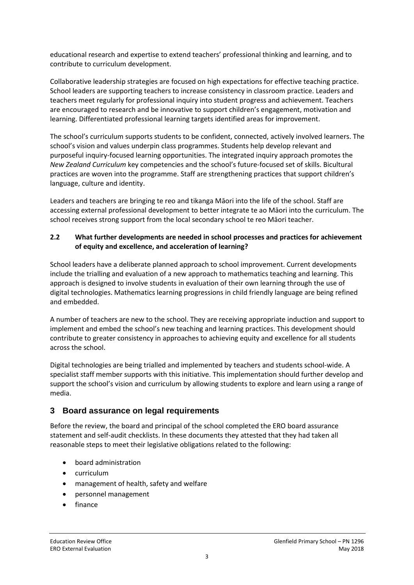educational research and expertise to extend teachers' professional thinking and learning, and to contribute to curriculum development.

Collaborative leadership strategies are focused on high expectations for effective teaching practice. School leaders are supporting teachers to increase consistency in classroom practice. Leaders and teachers meet regularly for professional inquiry into student progress and achievement. Teachers are encouraged to research and be innovative to support children's engagement, motivation and learning. Differentiated professional learning targets identified areas for improvement.

The school's curriculum supports students to be confident, connected, actively involved learners. The school's vision and values underpin class programmes. Students help develop relevant and purposeful inquiry-focused learning opportunities. The integrated inquiry approach promotes the *New Zealand Curriculum* key competencies and the school's future-focused set of skills. Bicultural practices are woven into the programme. Staff are strengthening practices that support children's language, culture and identity.

Leaders and teachers are bringing te reo and tikanga Māori into the life of the school. Staff are accessing external professional development to better integrate te ao Māori into the curriculum. The school receives strong support from the local secondary school te reo Māori teacher.

#### **2.2 What further developments are needed in school processes and practices for achievement of equity and excellence, and acceleration of learning?**

School leaders have a deliberate planned approach to school improvement. Current developments include the trialling and evaluation of a new approach to mathematics teaching and learning. This approach is designed to involve students in evaluation of their own learning through the use of digital technologies. Mathematics learning progressions in child friendly language are being refined and embedded.

A number of teachers are new to the school. They are receiving appropriate induction and support to implement and embed the school's new teaching and learning practices. This development should contribute to greater consistency in approaches to achieving equity and excellence for all students across the school.

Digital technologies are being trialled and implemented by teachers and students school-wide. A specialist staff member supports with this initiative. This implementation should further develop and support the school's vision and curriculum by allowing students to explore and learn using a range of media.

### **3 Board assurance on legal requirements**

Before the review, the board and principal of the school completed the ERO board assurance statement and self-audit checklists. In these documents they attested that they had taken all reasonable steps to meet their legislative obligations related to the following:

- board administration
- curriculum
- management of health, safety and welfare
- personnel management
- finance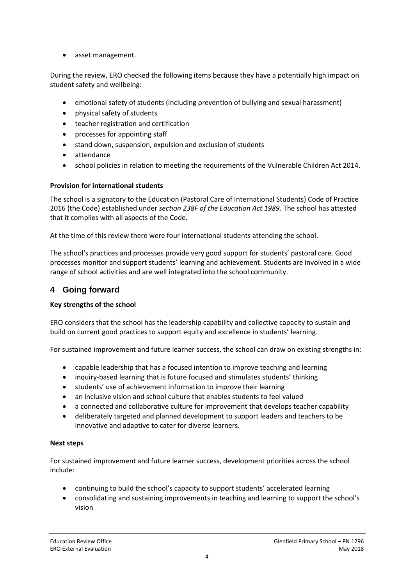• asset management.

During the review, ERO checked the following items because they have a potentially high impact on student safety and wellbeing:

- emotional safety of students (including prevention of bullying and sexual harassment)
- physical safety of students
- teacher registration and certification
- processes for appointing staff
- stand down, suspension, expulsion and exclusion of students
- attendance
- school policies in relation to meeting the requirements of the Vulnerable Children Act 2014.

#### **Provision for international students**

The school is a signatory to the Education (Pastoral Care of International Students) Code of Practice 2016 (the Code) established under *section 238F of the Education Act 1989*. The school has attested that it complies with all aspects of the Code.

At the time of this review there were four international students attending the school.

The school's practices and processes provide very good support for students' pastoral care. Good processes monitor and support students' learning and achievement. Students are involved in a wide range of school activities and are well integrated into the school community.

### **4 Going forward**

#### **Key strengths of the school**

ERO considers that the school has the leadership capability and collective capacity to sustain and build on current good practices to support equity and excellence in students' learning.

For sustained improvement and future learner success, the school can draw on existing strengths in:

- capable leadership that has a focused intention to improve teaching and learning
- inquiry-based learning that is future focused and stimulates students' thinking
- students' use of achievement information to improve their learning
- an inclusive vision and school culture that enables students to feel valued
- a connected and collaborative culture for improvement that develops teacher capability
- deliberately targeted and planned development to support leaders and teachers to be innovative and adaptive to cater for diverse learners.

#### **Next steps**

For sustained improvement and future learner success, development priorities across the school include:

- continuing to build the school's capacity to support students' accelerated learning
- consolidating and sustaining improvements in teaching and learning to support the school's vision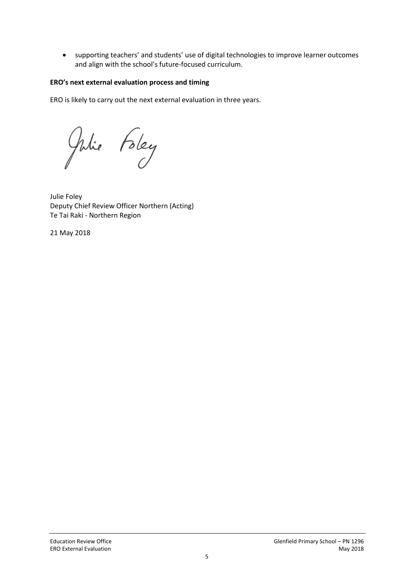supporting teachers' and students' use of digital technologies to improve learner outcomes and align with the school's future-focused curriculum.

#### **ERO's next external evaluation process and timing**

ERO is likely to carry out the next external evaluation in three years.

Julie Foley

Julie Foley Deputy Chief Review Officer Northern (Acting) Te Tai Raki - Northern Region

21 May 2018